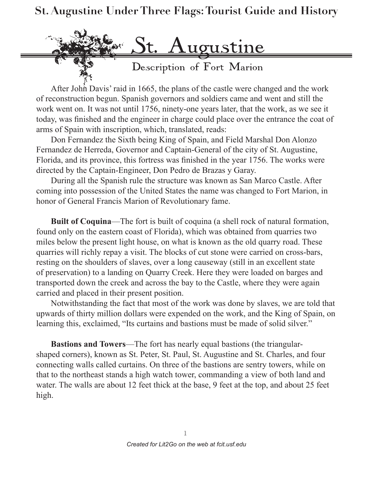## **St. Augustine Under Three Flags: Tourist Guide and History**



After John Davis' raid in 1665, the plans of the castle were changed and the work of reconstruction begun. Spanish governors and soldiers came and went and still the work went on. It was not until 1756, ninety-one years later, that the work, as we see it today, was finished and the engineer in charge could place over the entrance the coat of arms of Spain with inscription, which, translated, reads:

Don Fernandez the Sixth being King of Spain, and Field Marshal Don Alonzo Fernandez de Herreda, Governor and Captain-General of the city of St. Augustine, Florida, and its province, this fortress was finished in the year 1756. The works were directed by the Captain-Engineer, Don Pedro de Brazas y Garay.

During all the Spanish rule the structure was known as San Marco Castle. After coming into possession of the United States the name was changed to Fort Marion, in honor of General Francis Marion of Revolutionary fame.

**Built of Coquina**—The fort is built of coquina (a shell rock of natural formation, found only on the eastern coast of Florida), which was obtained from quarries two miles below the present light house, on what is known as the old quarry road. These quarries will richly repay a visit. The blocks of cut stone were carried on cross-bars, resting on the shoulders of slaves, over a long causeway (still in an excellent state of preservation) to a landing on Quarry Creek. Here they were loaded on barges and transported down the creek and across the bay to the Castle, where they were again carried and placed in their present position.

Notwithstanding the fact that most of the work was done by slaves, we are told that upwards of thirty million dollars were expended on the work, and the King of Spain, on learning this, exclaimed, "Its curtains and bastions must be made of solid silver."

**Bastions and Towers**—The fort has nearly equal bastions (the triangularshaped corners), known as St. Peter, St. Paul, St. Augustine and St. Charles, and four connecting walls called curtains. On three of the bastions are sentry towers, while on that to the northeast stands a high watch tower, commanding a view of both land and water. The walls are about 12 feet thick at the base, 9 feet at the top, and about 25 feet high.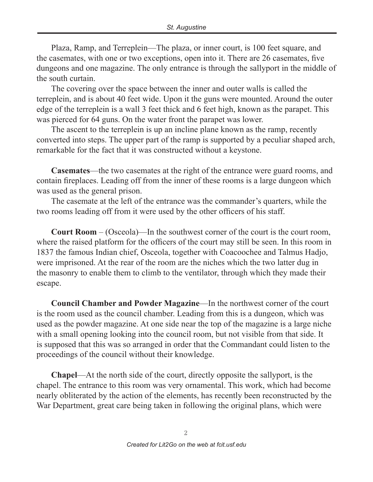Plaza, Ramp, and Terreplein—The plaza, or inner court, is 100 feet square, and the casemates, with one or two exceptions, open into it. There are 26 casemates, five dungeons and one magazine. The only entrance is through the sallyport in the middle of the south curtain.

The covering over the space between the inner and outer walls is called the terreplein, and is about 40 feet wide. Upon it the guns were mounted. Around the outer edge of the terreplein is a wall 3 feet thick and 6 feet high, known as the parapet. This was pierced for 64 guns. On the water front the parapet was lower.

The ascent to the terreplein is up an incline plane known as the ramp, recently converted into steps. The upper part of the ramp is supported by a peculiar shaped arch, remarkable for the fact that it was constructed without a keystone.

**Casemates**—the two casemates at the right of the entrance were guard rooms, and contain fireplaces. Leading off from the inner of these rooms is a large dungeon which was used as the general prison.

The casemate at the left of the entrance was the commander's quarters, while the two rooms leading off from it were used by the other officers of his staff.

**Court Room** – (Osceola)—In the southwest corner of the court is the court room, where the raised platform for the officers of the court may still be seen. In this room in 1837 the famous Indian chief, Osceola, together with Coacoochee and Talmus Hadjo, were imprisoned. At the rear of the room are the niches which the two latter dug in the masonry to enable them to climb to the ventilator, through which they made their escape.

**Council Chamber and Powder Magazine**—In the northwest corner of the court is the room used as the council chamber. Leading from this is a dungeon, which was used as the powder magazine. At one side near the top of the magazine is a large niche with a small opening looking into the council room, but not visible from that side. It is supposed that this was so arranged in order that the Commandant could listen to the proceedings of the council without their knowledge.

**Chapel**—At the north side of the court, directly opposite the sallyport, is the chapel. The entrance to this room was very ornamental. This work, which had become nearly obliterated by the action of the elements, has recently been reconstructed by the War Department, great care being taken in following the original plans, which were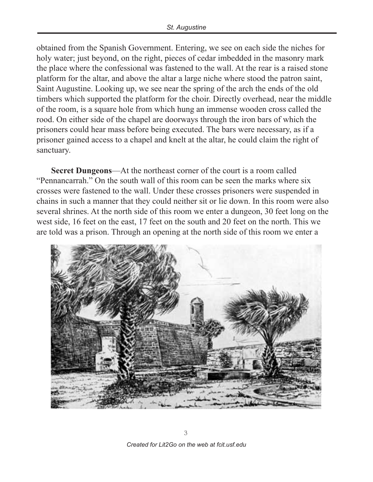obtained from the Spanish Government. Entering, we see on each side the niches for holy water; just beyond, on the right, pieces of cedar imbedded in the masonry mark the place where the confessional was fastened to the wall. At the rear is a raised stone platform for the altar, and above the altar a large niche where stood the patron saint, Saint Augustine. Looking up, we see near the spring of the arch the ends of the old timbers which supported the platform for the choir. Directly overhead, near the middle of the room, is a square hole from which hung an immense wooden cross called the rood. On either side of the chapel are doorways through the iron bars of which the prisoners could hear mass before being executed. The bars were necessary, as if a prisoner gained access to a chapel and knelt at the altar, he could claim the right of sanctuary.

**Secret Dungeons**—At the northeast corner of the court is a room called "Pennancarrah." On the south wall of this room can be seen the marks where six crosses were fastened to the wall. Under these crosses prisoners were suspended in chains in such a manner that they could neither sit or lie down. In this room were also several shrines. At the north side of this room we enter a dungeon, 30 feet long on the west side, 16 feet on the east, 17 feet on the south and 20 feet on the north. This we are told was a prison. Through an opening at the north side of this room we enter a

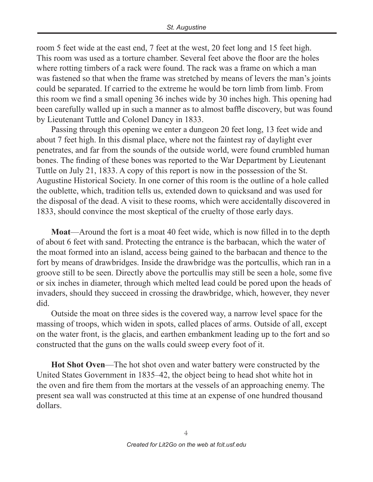room 5 feet wide at the east end, 7 feet at the west, 20 feet long and 15 feet high. This room was used as a torture chamber. Several feet above the floor are the holes where rotting timbers of a rack were found. The rack was a frame on which a man was fastened so that when the frame was stretched by means of levers the man's joints could be separated. If carried to the extreme he would be torn limb from limb. From this room we find a small opening 36 inches wide by 30 inches high. This opening had been carefully walled up in such a manner as to almost baffle discovery, but was found by Lieutenant Tuttle and Colonel Dancy in 1833.

Passing through this opening we enter a dungeon 20 feet long, 13 feet wide and about 7 feet high. In this dismal place, where not the faintest ray of daylight ever penetrates, and far from the sounds of the outside world, were found crumbled human bones. The finding of these bones was reported to the War Department by Lieutenant Tuttle on July 21, 1833. A copy of this report is now in the possession of the St. Augustine Historical Society. In one corner of this room is the outline of a hole called the oublette, which, tradition tells us, extended down to quicksand and was used for the disposal of the dead. A visit to these rooms, which were accidentally discovered in 1833, should convince the most skeptical of the cruelty of those early days.

**Moat**—Around the fort is a moat 40 feet wide, which is now filled in to the depth of about 6 feet with sand. Protecting the entrance is the barbacan, which the water of the moat formed into an island, access being gained to the barbacan and thence to the fort by means of drawbridges. Inside the drawbridge was the portcullis, which ran in a groove still to be seen. Directly above the portcullis may still be seen a hole, some five or six inches in diameter, through which melted lead could be pored upon the heads of invaders, should they succeed in crossing the drawbridge, which, however, they never did.

Outside the moat on three sides is the covered way, a narrow level space for the massing of troops, which widen in spots, called places of arms. Outside of all, except on the water front, is the glacis, and earthen embankment leading up to the fort and so constructed that the guns on the walls could sweep every foot of it.

**Hot Shot Oven**—The hot shot oven and water battery were constructed by the United States Government in 1835–42, the object being to head shot white hot in the oven and fire them from the mortars at the vessels of an approaching enemy. The present sea wall was constructed at this time at an expense of one hundred thousand dollars.